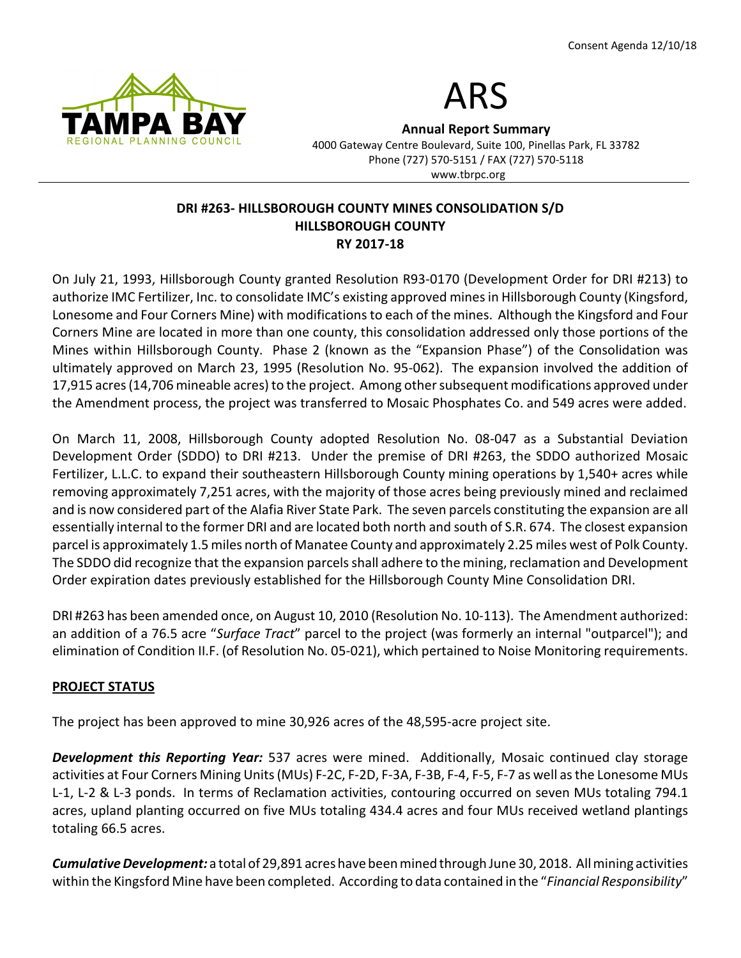



Annual Report Summary

4000 Gateway Centre Boulevard, Suite 100, Pinellas Park, FL 33782 Phone (727) 570-5151 / FAX (727) 570-5118 www.tbrpc.org

## DRI #263- HILLSBOROUGH COUNTY MINES CONSOLIDATION S/D HILLSBOROUGH COUNTY RY 2017-18

On July 21, 1993, Hillsborough County granted Resolution R93-0170 (Development Order for DRI #213) to authorize IMC Fertilizer, Inc. to consolidate IMC's existing approved mines in Hillsborough County (Kingsford, Lonesome and Four Corners Mine) with modifications to each of the mines. Although the Kingsford and Four Corners Mine are located in more than one county, this consolidation addressed only those portions of the Mines within Hillsborough County. Phase 2 (known as the "Expansion Phase") of the Consolidation was ultimately approved on March 23, 1995 (Resolution No. 95-062). The expansion involved the addition of 17,915 acres (14,706 mineable acres) to the project. Among other subsequent modifications approved under the Amendment process, the project was transferred to Mosaic Phosphates Co. and 549 acres were added.

On March 11, 2008, Hillsborough County adopted Resolution No. 08-047 as a Substantial Deviation Development Order (SDDO) to DRI #213. Under the premise of DRI #263, the SDDO authorized Mosaic Fertilizer, L.L.C. to expand their southeastern Hillsborough County mining operations by 1,540+ acres while removing approximately 7,251 acres, with the majority of those acres being previously mined and reclaimed and is now considered part of the Alafia River State Park. The seven parcels constituting the expansion are all essentially internal to the former DRI and are located both north and south of S.R. 674. The closest expansion parcel is approximately 1.5 miles north of Manatee County and approximately 2.25 miles west of Polk County. The SDDO did recognize that the expansion parcels shall adhere to the mining, reclamation and Development Order expiration dates previously established for the Hillsborough County Mine Consolidation DRI.

DRI #263 has been amended once, on August 10, 2010 (Resolution No. 10-113). The Amendment authorized: an addition of a 76.5 acre "Surface Tract" parcel to the project (was formerly an internal "outparcel"); and elimination of Condition II.F. (of Resolution No. 05-021), which pertained to Noise Monitoring requirements.

## PROJECT STATUS

The project has been approved to mine 30,926 acres of the 48,595-acre project site.

**Development this Reporting Year:** 537 acres were mined. Additionally, Mosaic continued clay storage activities at Four Corners Mining Units (MUs) F-2C, F-2D, F-3A, F-3B, F-4, F-5, F-7 as well as the Lonesome MUs L-1, L-2 & L-3 ponds. In terms of Reclamation activities, contouring occurred on seven MUs totaling 794.1 acres, upland planting occurred on five MUs totaling 434.4 acres and four MUs received wetland plantings totaling 66.5 acres.

Cumulative Development: a total of 29,891 acres have been mined through June 30, 2018. All mining activities within the Kingsford Mine have been completed. According to data contained in the "Financial Responsibility"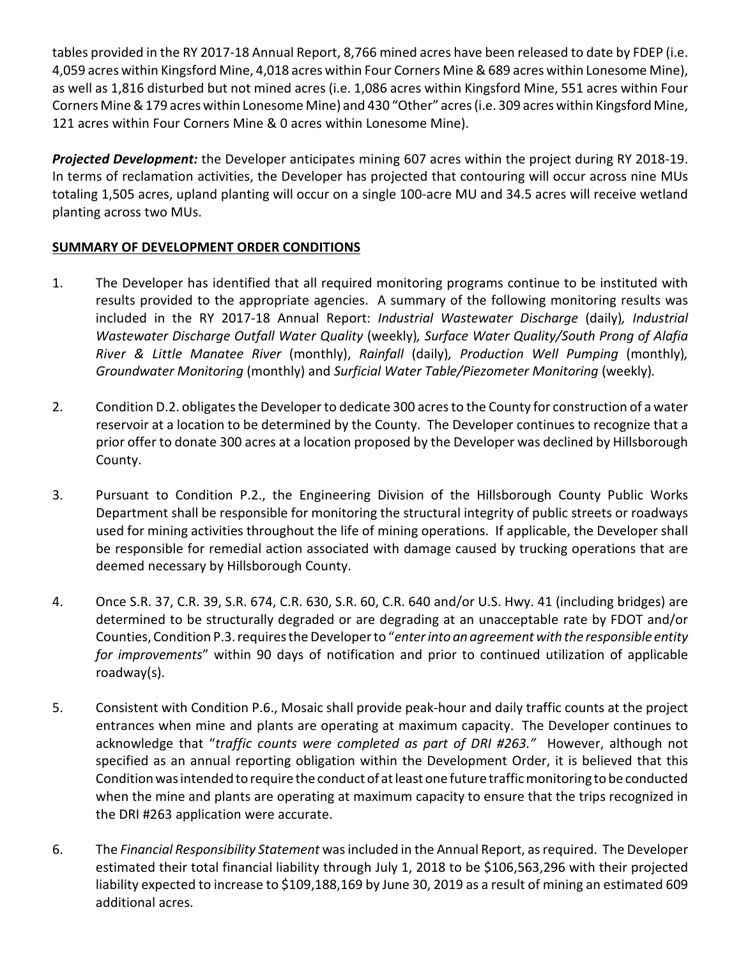tables provided in the RY 2017-18 Annual Report, 8,766 mined acres have been released to date by FDEP (i.e. 4,059 acres within Kingsford Mine, 4,018 acres within Four Corners Mine & 689 acres within Lonesome Mine), as well as 1,816 disturbed but not mined acres (i.e. 1,086 acres within Kingsford Mine, 551 acres within Four Corners Mine & 179 acres within Lonesome Mine) and 430 "Other" acres (i.e. 309 acres within Kingsford Mine, 121 acres within Four Corners Mine & 0 acres within Lonesome Mine).

Projected Development: the Developer anticipates mining 607 acres within the project during RY 2018-19. In terms of reclamation activities, the Developer has projected that contouring will occur across nine MUs totaling 1,505 acres, upland planting will occur on a single 100-acre MU and 34.5 acres will receive wetland planting across two MUs.

# SUMMARY OF DEVELOPMENT ORDER CONDITIONS

- 1. The Developer has identified that all required monitoring programs continue to be instituted with results provided to the appropriate agencies. A summary of the following monitoring results was included in the RY 2017-18 Annual Report: Industrial Wastewater Discharge (daily), Industrial Wastewater Discharge Outfall Water Quality (weekly), Surface Water Quality/South Prong of Alafia River & Little Manatee River (monthly), Rainfall (daily), Production Well Pumping (monthly), Groundwater Monitoring (monthly) and Surficial Water Table/Piezometer Monitoring (weekly).
- 2. Condition D.2. obligates the Developer to dedicate 300 acres to the County for construction of a water reservoir at a location to be determined by the County. The Developer continues to recognize that a prior offer to donate 300 acres at a location proposed by the Developer was declined by Hillsborough County.
- 3. Pursuant to Condition P.2., the Engineering Division of the Hillsborough County Public Works Department shall be responsible for monitoring the structural integrity of public streets or roadways used for mining activities throughout the life of mining operations. If applicable, the Developer shall be responsible for remedial action associated with damage caused by trucking operations that are deemed necessary by Hillsborough County.
- 4. Once S.R. 37, C.R. 39, S.R. 674, C.R. 630, S.R. 60, C.R. 640 and/or U.S. Hwy. 41 (including bridges) are determined to be structurally degraded or are degrading at an unacceptable rate by FDOT and/or Counties, Condition P.3. requires the Developer to "enter into an agreement with the responsible entity for improvements" within 90 days of notification and prior to continued utilization of applicable roadway(s).
- 5. Consistent with Condition P.6., Mosaic shall provide peak-hour and daily traffic counts at the project entrances when mine and plants are operating at maximum capacity. The Developer continues to acknowledge that "traffic counts were completed as part of DRI #263." However, although not specified as an annual reporting obligation within the Development Order, it is believed that this Condition was intended to require the conduct of at least one future traffic monitoring to be conducted when the mine and plants are operating at maximum capacity to ensure that the trips recognized in the DRI #263 application were accurate.
- 6. The Financial Responsibility Statement was included in the Annual Report, as required. The Developer estimated their total financial liability through July 1, 2018 to be \$106,563,296 with their projected liability expected to increase to \$109,188,169 by June 30, 2019 as a result of mining an estimated 609 additional acres.